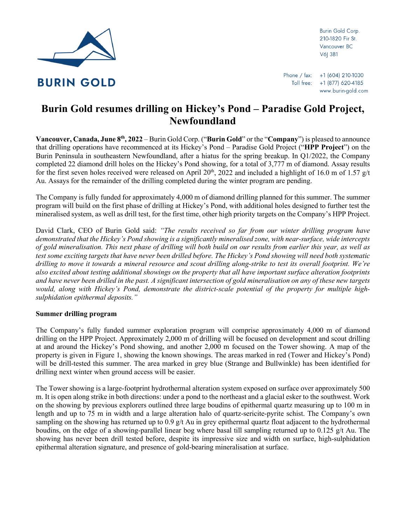

Burin Gold Corp. 210-1820 Fir St. Vancouver BC V6| 3B1

# **Burin Gold resumes drilling on Hickey's Pond – Paradise Gold Project, Newfoundland**

**Vancouver, Canada, June 8th, 2022** – Burin Gold Corp. ("**Burin Gold**" or the "**Company**") is pleased to announce that drilling operations have recommenced at its Hickey's Pond – Paradise Gold Project ("**HPP Project**") on the Burin Peninsula in southeastern Newfoundland, after a hiatus for the spring breakup. In Q1/2022, the Company completed 22 diamond drill holes on the Hickey's Pond showing, for a total of 3,777 m of diamond. Assay results for the first seven holes received were released on April 20<sup>th</sup>, 2022 and included a highlight of 16.0 m of 1.57 g/t Au. Assays for the remainder of the drilling completed during the winter program are pending.

The Company is fully funded for approximately 4,000 m of diamond drilling planned for this summer. The summer program will build on the first phase of drilling at Hickey's Pond, with additional holes designed to further test the mineralised system, as well as drill test, for the first time, other high priority targets on the Company's HPP Project.

David Clark, CEO of Burin Gold said: *"The results received so far from our winter drilling program have demonstrated that the Hickey's Pond showing is a significantly mineralised zone, with near-surface, wide intercepts of gold mineralisation. This next phase of drilling will both build on our results from earlier this year, as well as test some exciting targets that have never been drilled before. The Hickey's Pond showing will need both systematic drilling to move it towards a mineral resource and scout drilling along-strike to test its overall footprint. We're also excited about testing additional showings on the property that all have important surface alteration footprints and have never been drilled in the past. A significant intersection of gold mineralisation on any of these new targets would, along with Hickey's Pond, demonstrate the district-scale potential of the property for multiple highsulphidation epithermal deposits."*

# **Summer drilling program**

The Company's fully funded summer exploration program will comprise approximately 4,000 m of diamond drilling on the HPP Project. Approximately 2,000 m of drilling will be focused on development and scout drilling at and around the Hickey's Pond showing, and another 2,000 m focused on the Tower showing. A map of the property is given in [Figure 1,](#page-1-0) showing the known showings. The areas marked in red (Tower and Hickey's Pond) will be drill-tested this summer. The area marked in grey blue (Strange and Bullwinkle) has been identified for drilling next winter when ground access will be easier.

The Tower showing is a large-footprint hydrothermal alteration system exposed on surface over approximately 500 m. It is open along strike in both directions: under a pond to the northeast and a glacial esker to the southwest. Work on the showing by previous explorers outlined three large boudins of epithermal quartz measuring up to 100 m in length and up to 75 m in width and a large alteration halo of quartz-sericite-pyrite schist. The Company's own sampling on the showing has returned up to  $0.9$  g/t Au in grey epithermal quartz float adjacent to the hydrothermal boudins, on the edge of a showing-parallel linear bog where basal till sampling returned up to 0.125 g/t Au. The showing has never been drill tested before, despite its impressive size and width on surface, high-sulphidation epithermal alteration signature, and presence of gold-bearing mineralisation at surface.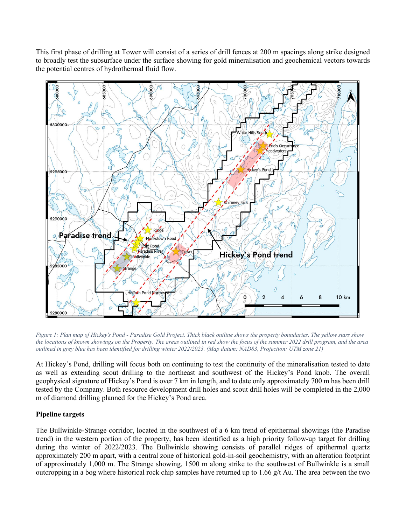This first phase of drilling at Tower will consist of a series of drill fences at 200 m spacings along strike designed to broadly test the subsurface under the surface showing for gold mineralisation and geochemical vectors towards the potential centres of hydrothermal fluid flow.



<span id="page-1-0"></span>*Figure 1: Plan map of Hickey's Pond - Paradise Gold Project. Thick black outline shows the property boundaries. The yellow stars show the locations of known showings on the Property. The areas outlined in red show the focus of the summer 2022 drill program, and the area outlined in grey blue has been identified for drilling winter 2022/2023. (Map datum: NAD83, Projection: UTM zone 21)*

At Hickey's Pond, drilling will focus both on continuing to test the continuity of the mineralisation tested to date as well as extending scout drilling to the northeast and southwest of the Hickey's Pond knob. The overall geophysical signature of Hickey's Pond is over 7 km in length, and to date only approximately 700 m has been drill tested by the Company. Both resource development drill holes and scout drill holes will be completed in the 2,000 m of diamond drilling planned for the Hickey's Pond area.

# **Pipeline targets**

The Bullwinkle-Strange corridor, located in the southwest of a 6 km trend of epithermal showings (the Paradise trend) in the western portion of the property, has been identified as a high priority follow-up target for drilling during the winter of 2022/2023. The Bullwinkle showing consists of parallel ridges of epithermal quartz approximately 200 m apart, with a central zone of historical gold-in-soil geochemistry, with an alteration footprint of approximately 1,000 m. The Strange showing, 1500 m along strike to the southwest of Bullwinkle is a small outcropping in a bog where historical rock chip samples have returned up to 1.66  $g/t$  Au. The area between the two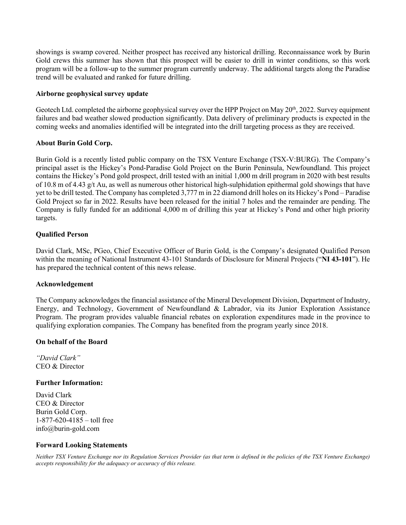showings is swamp covered. Neither prospect has received any historical drilling. Reconnaissance work by Burin Gold crews this summer has shown that this prospect will be easier to drill in winter conditions, so this work program will be a follow-up to the summer program currently underway. The additional targets along the Paradise trend will be evaluated and ranked for future drilling.

## **Airborne geophysical survey update**

Geotech Ltd. completed the airborne geophysical survey over the HPP Project on May 20<sup>th</sup>, 2022. Survey equipment failures and bad weather slowed production significantly. Data delivery of preliminary products is expected in the coming weeks and anomalies identified will be integrated into the drill targeting process as they are received.

## **About Burin Gold Corp.**

Burin Gold is a recently listed public company on the TSX Venture Exchange (TSX-V:BURG). The Company's principal asset is the Hickey's Pond-Paradise Gold Project on the Burin Peninsula, Newfoundland. This project contains the Hickey's Pond gold prospect, drill tested with an initial 1,000 m drill program in 2020 with best results of 10.8 m of 4.43 g/t Au, as well as numerous other historical high-sulphidation epithermal gold showings that have yet to be drill tested. The Company has completed 3,777 m in 22 diamond drill holes on its Hickey's Pond – Paradise Gold Project so far in 2022. Results have been released for the initial 7 holes and the remainder are pending. The Company is fully funded for an additional 4,000 m of drilling this year at Hickey's Pond and other high priority targets.

## **Qualified Person**

David Clark, MSc, PGeo, Chief Executive Officer of Burin Gold, is the Company's designated Qualified Person within the meaning of National Instrument 43-101 Standards of Disclosure for Mineral Projects ("**NI 43-101**"). He has prepared the technical content of this news release.

### **Acknowledgement**

The Company acknowledges the financial assistance of the Mineral Development Division, Department of Industry, Energy, and Technology, Government of Newfoundland & Labrador, via its Junior Exploration Assistance Program. The program provides valuable financial rebates on exploration expenditures made in the province to qualifying exploration companies. The Company has benefited from the program yearly since 2018.

### **On behalf of the Board**

*"David Clark"*  CEO & Director

### **Further Information:**

David Clark CEO & Director Burin Gold Corp. 1-877-620-4185 – toll free info@burin-gold.com

### **Forward Looking Statements**

*Neither TSX Venture Exchange nor its Regulation Services Provider (as that term is defined in the policies of the TSX Venture Exchange) accepts responsibility for the adequacy or accuracy of this release.*